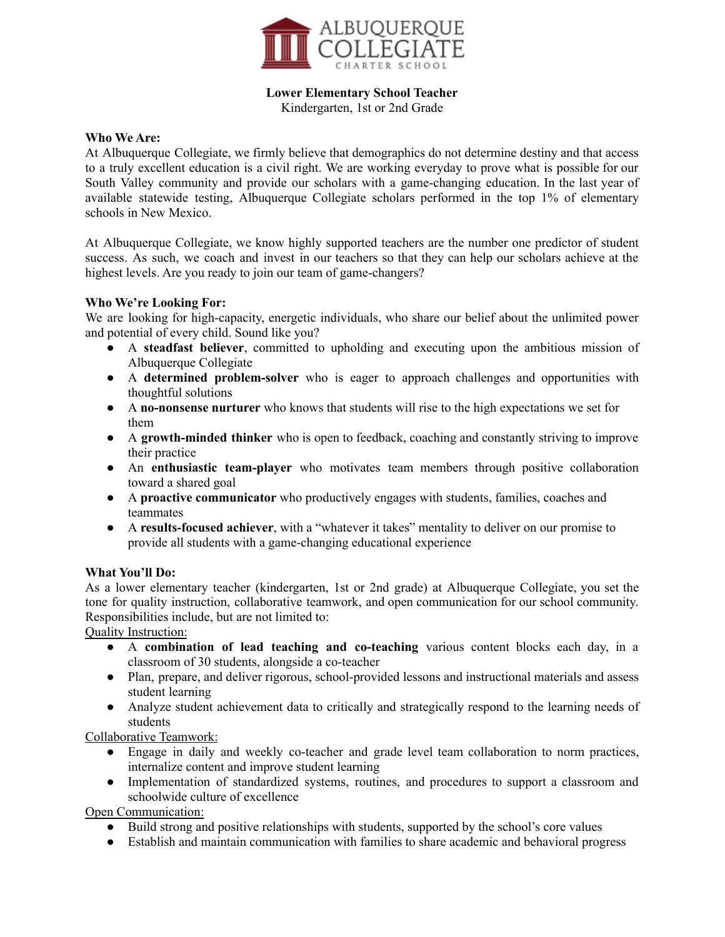

# **Lower Elementary School Teacher**

Kindergarten, 1st or 2nd Grade

#### **Who We Are:**

At Albuquerque Collegiate, we firmly believe that demographics do not determine destiny and that access to a truly excellent education is a civil right. We are working everyday to prove what is possible for our South Valley community and provide our scholars with a game-changing education. In the last year of available statewide testing, Albuquerque Collegiate scholars performed in the top 1% of elementary schools in New Mexico.

At Albuquerque Collegiate, we know highly supported teachers are the number one predictor of student success. As such, we coach and invest in our teachers so that they can help our scholars achieve at the highest levels. Are you ready to join our team of game-changers?

### **Who We're Looking For:**

We are looking for high-capacity, energetic individuals, who share our belief about the unlimited power and potential of every child. Sound like you?

- A **steadfast believer**, committed to upholding and executing upon the ambitious mission of Albuquerque Collegiate
- A **determined problem-solver** who is eager to approach challenges and opportunities with thoughtful solutions
- A **no-nonsense nurturer** who knows that students will rise to the high expectations we set for them
- A **growth-minded thinker** who is open to feedback, coaching and constantly striving to improve their practice
- An **enthusiastic team-player** who motivates team members through positive collaboration toward a shared goal
- A **proactive communicator** who productively engages with students, families, coaches and teammates
- A **results-focused achiever**, with a "whatever it takes" mentality to deliver on our promise to provide all students with a game-changing educational experience

### **What You'll Do:**

As a lower elementary teacher (kindergarten, 1st or 2nd grade) at Albuquerque Collegiate, you set the tone for quality instruction, collaborative teamwork, and open communication for our school community. Responsibilities include, but are not limited to:

Quality Instruction:

- A **combination of lead teaching and co-teaching** various content blocks each day, in a classroom of 30 students, alongside a co-teacher
- Plan, prepare, and deliver rigorous, school-provided lessons and instructional materials and assess student learning
- Analyze student achievement data to critically and strategically respond to the learning needs of students

Collaborative Teamwork:

- Engage in daily and weekly co-teacher and grade level team collaboration to norm practices, internalize content and improve student learning
- Implementation of standardized systems, routines, and procedures to support a classroom and schoolwide culture of excellence

Open Communication:

- Build strong and positive relationships with students, supported by the school's core values
- Establish and maintain communication with families to share academic and behavioral progress